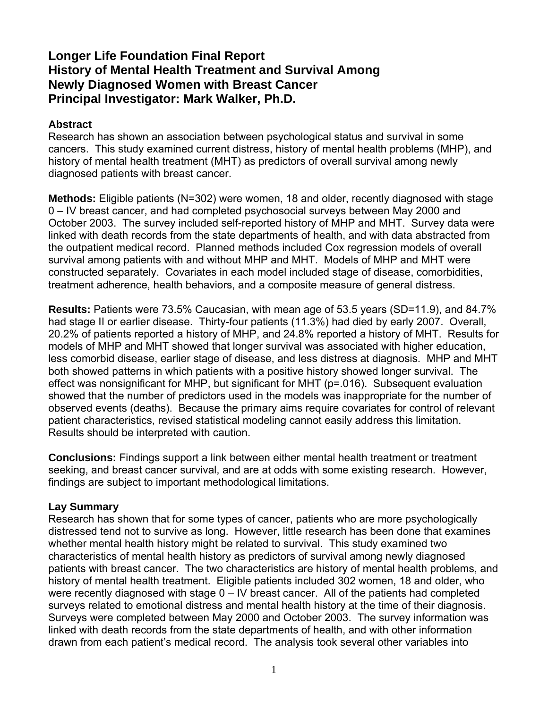# **Longer Life Foundation Final Report History of Mental Health Treatment and Survival Among Newly Diagnosed Women with Breast Cancer Principal Investigator: Mark Walker, Ph.D.**

# **Abstract**

Research has shown an association between psychological status and survival in some cancers. This study examined current distress, history of mental health problems (MHP), and history of mental health treatment (MHT) as predictors of overall survival among newly diagnosed patients with breast cancer.

**Methods:** Eligible patients (N=302) were women, 18 and older, recently diagnosed with stage 0 – IV breast cancer, and had completed psychosocial surveys between May 2000 and October 2003. The survey included self-reported history of MHP and MHT. Survey data were linked with death records from the state departments of health, and with data abstracted from the outpatient medical record. Planned methods included Cox regression models of overall survival among patients with and without MHP and MHT. Models of MHP and MHT were constructed separately. Covariates in each model included stage of disease, comorbidities, treatment adherence, health behaviors, and a composite measure of general distress.

**Results:** Patients were 73.5% Caucasian, with mean age of 53.5 years (SD=11.9), and 84.7% had stage II or earlier disease. Thirty-four patients (11.3%) had died by early 2007. Overall, 20.2% of patients reported a history of MHP, and 24.8% reported a history of MHT. Results for models of MHP and MHT showed that longer survival was associated with higher education, less comorbid disease, earlier stage of disease, and less distress at diagnosis. MHP and MHT both showed patterns in which patients with a positive history showed longer survival. The effect was nonsignificant for MHP, but significant for MHT (p=.016). Subsequent evaluation showed that the number of predictors used in the models was inappropriate for the number of observed events (deaths). Because the primary aims require covariates for control of relevant patient characteristics, revised statistical modeling cannot easily address this limitation. Results should be interpreted with caution.

**Conclusions:** Findings support a link between either mental health treatment or treatment seeking, and breast cancer survival, and are at odds with some existing research. However, findings are subject to important methodological limitations.

#### **Lay Summary**

Research has shown that for some types of cancer, patients who are more psychologically distressed tend not to survive as long. However, little research has been done that examines whether mental health history might be related to survival. This study examined two characteristics of mental health history as predictors of survival among newly diagnosed patients with breast cancer. The two characteristics are history of mental health problems, and history of mental health treatment. Eligible patients included 302 women, 18 and older, who were recently diagnosed with stage 0 – IV breast cancer. All of the patients had completed surveys related to emotional distress and mental health history at the time of their diagnosis. Surveys were completed between May 2000 and October 2003. The survey information was linked with death records from the state departments of health, and with other information drawn from each patient's medical record. The analysis took several other variables into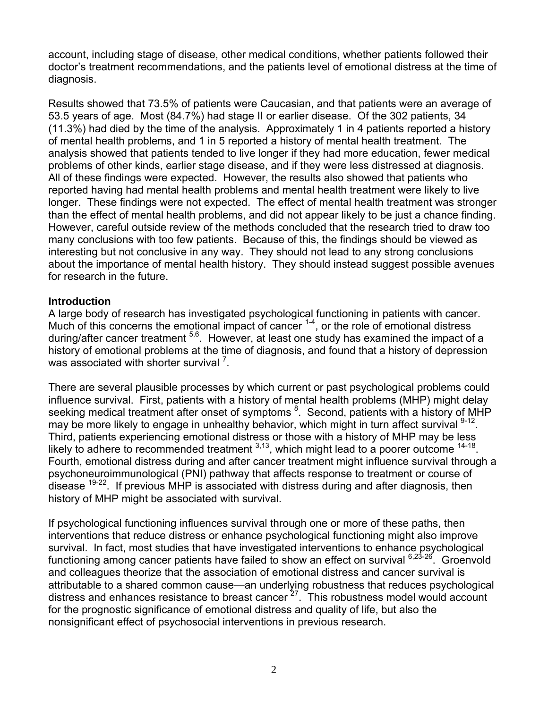account, including stage of disease, other medical conditions, whether patients followed their doctor's treatment recommendations, and the patients level of emotional distress at the time of diagnosis.

Results showed that 73.5% of patients were Caucasian, and that patients were an average of 53.5 years of age. Most (84.7%) had stage II or earlier disease. Of the 302 patients, 34 (11.3%) had died by the time of the analysis. Approximately 1 in 4 patients reported a history of mental health problems, and 1 in 5 reported a history of mental health treatment. The analysis showed that patients tended to live longer if they had more education, fewer medical problems of other kinds, earlier stage disease, and if they were less distressed at diagnosis. All of these findings were expected. However, the results also showed that patients who reported having had mental health problems and mental health treatment were likely to live longer. These findings were not expected. The effect of mental health treatment was stronger than the effect of mental health problems, and did not appear likely to be just a chance finding. However, careful outside review of the methods concluded that the research tried to draw too many conclusions with too few patients. Because of this, the findings should be viewed as interesting but not conclusive in any way. They should not lead to any strong conclusions about the importance of mental health history. They should instead suggest possible avenues for research in the future.

#### **Introduction**

A large body of research has investigated psychological functioning in patients with cancer. Much of this concerns the emotional impact of cancer  $1-4$ , or the role of emotional distress during/after cancer treatment  $5,6$ . However, at least one study has examined the impact of a history of emotional problems at the time of diagnosis, and found that a history of depression was associated with shorter survival  $<sup>7</sup>$ .</sup>

There are several plausible processes by which current or past psychological problems could influence survival. First, patients with a history of mental health problems (MHP) might delay seeking medical treatment after onset of symptoms <sup>8</sup>. Second, patients with a history of MHP may be more likely to engage in unhealthy behavior, which might in turn affect survival <sup>9-12</sup>. Third, patients experiencing emotional distress or those with a history of MHP may be less likely to adhere to recommended treatment  $3,13$ , which might lead to a poorer outcome  $14-18$ . Fourth, emotional distress during and after cancer treatment might influence survival through a psychoneuroimmunological (PNI) pathway that affects response to treatment or course of disease  $19-22$ . If previous MHP is associated with distress during and after diagnosis, then history of MHP might be associated with survival.

If psychological functioning influences survival through one or more of these paths, then interventions that reduce distress or enhance psychological functioning might also improve survival. In fact, most studies that have investigated interventions to enhance psychological functioning among cancer patients have failed to show an effect on survival  $6,23-26$ . Groenvold and colleagues theorize that the association of emotional distress and cancer survival is attributable to a shared common cause—an underlying robustness that reduces psychological distress and enhances resistance to breast cancer<sup>27</sup>. This robustness model would account for the prognostic significance of emotional distress and quality of life, but also the nonsignificant effect of psychosocial interventions in previous research.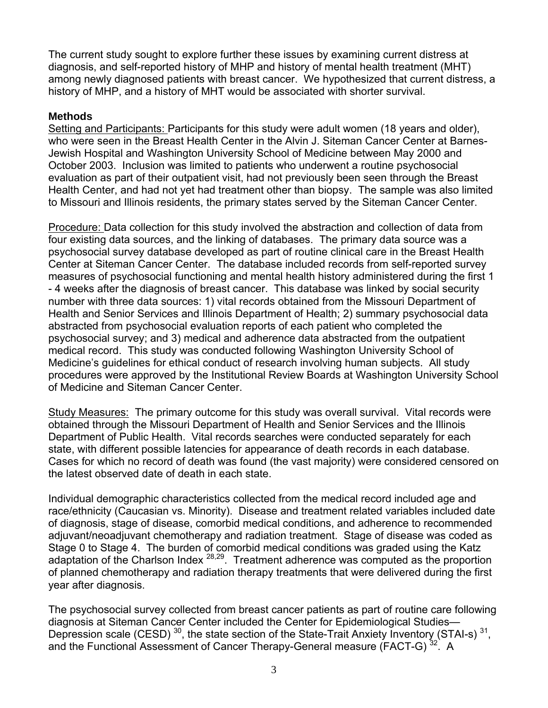The current study sought to explore further these issues by examining current distress at diagnosis, and self-reported history of MHP and history of mental health treatment (MHT) among newly diagnosed patients with breast cancer. We hypothesized that current distress, a history of MHP, and a history of MHT would be associated with shorter survival.

### **Methods**

Setting and Participants: Participants for this study were adult women (18 years and older), who were seen in the Breast Health Center in the Alvin J. Siteman Cancer Center at Barnes-Jewish Hospital and Washington University School of Medicine between May 2000 and October 2003. Inclusion was limited to patients who underwent a routine psychosocial evaluation as part of their outpatient visit, had not previously been seen through the Breast Health Center, and had not yet had treatment other than biopsy. The sample was also limited to Missouri and Illinois residents, the primary states served by the Siteman Cancer Center.

Procedure: Data collection for this study involved the abstraction and collection of data from four existing data sources, and the linking of databases. The primary data source was a psychosocial survey database developed as part of routine clinical care in the Breast Health Center at Siteman Cancer Center. The database included records from self-reported survey measures of psychosocial functioning and mental health history administered during the first 1 - 4 weeks after the diagnosis of breast cancer. This database was linked by social security number with three data sources: 1) vital records obtained from the Missouri Department of Health and Senior Services and Illinois Department of Health; 2) summary psychosocial data abstracted from psychosocial evaluation reports of each patient who completed the psychosocial survey; and 3) medical and adherence data abstracted from the outpatient medical record. This study was conducted following Washington University School of Medicine's guidelines for ethical conduct of research involving human subjects. All study procedures were approved by the Institutional Review Boards at Washington University School of Medicine and Siteman Cancer Center.

Study Measures: The primary outcome for this study was overall survival. Vital records were obtained through the Missouri Department of Health and Senior Services and the Illinois Department of Public Health. Vital records searches were conducted separately for each state, with different possible latencies for appearance of death records in each database. Cases for which no record of death was found (the vast majority) were considered censored on the latest observed date of death in each state.

Individual demographic characteristics collected from the medical record included age and race/ethnicity (Caucasian vs. Minority). Disease and treatment related variables included date of diagnosis, stage of disease, comorbid medical conditions, and adherence to recommended adjuvant/neoadjuvant chemotherapy and radiation treatment. Stage of disease was coded as Stage 0 to Stage 4. The burden of comorbid medical conditions was graded using the Katz adaptation of the Charlson Index  $28,29$ . Treatment adherence was computed as the proportion of planned chemotherapy and radiation therapy treatments that were delivered during the first year after diagnosis.

The psychosocial survey collected from breast cancer patients as part of routine care following diagnosis at Siteman Cancer Center included the Center for Epidemiological Studies— Depression scale (CESD)<sup>30</sup>, the state section of the State-Trait Anxiety Inventory (STAI-s)<sup>31</sup>, and the Functional Assessment of Cancer Therapy-General measure (FACT-G)<sup>32</sup>. A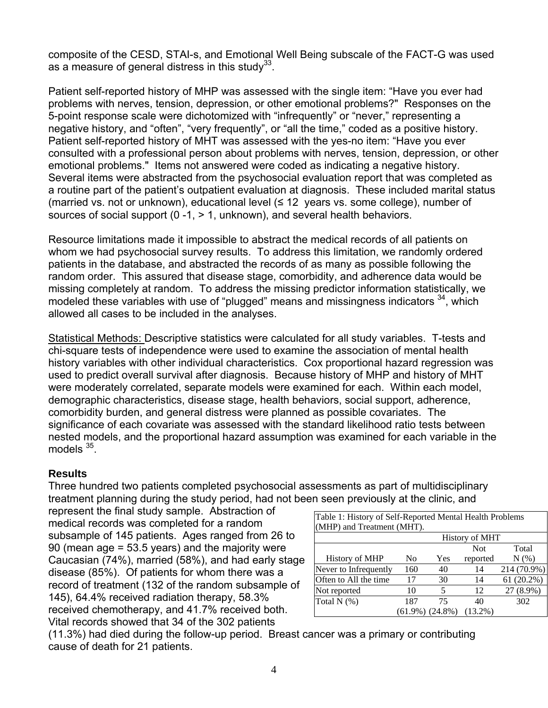composite of the CESD, STAI-s, and Emotional Well Being subscale of the FACT-G was used as a measure of general distress in this study $^{33}$ .

Patient self-reported history of MHP was assessed with the single item: "Have you ever had problems with nerves, tension, depression, or other emotional problems?" Responses on the 5-point response scale were dichotomized with "infrequently" or "never," representing a negative history, and "often", "very frequently", or "all the time," coded as a positive history. Patient self-reported history of MHT was assessed with the yes-no item: "Have you ever consulted with a professional person about problems with nerves, tension, depression, or other emotional problems." Items not answered were coded as indicating a negative history. Several items were abstracted from the psychosocial evaluation report that was completed as a routine part of the patient's outpatient evaluation at diagnosis. These included marital status (married vs. not or unknown), educational level (≤ 12 years vs. some college), number of sources of social support  $(0 -1) > 1$ , unknown), and several health behaviors.

Resource limitations made it impossible to abstract the medical records of all patients on whom we had psychosocial survey results. To address this limitation, we randomly ordered patients in the database, and abstracted the records of as many as possible following the random order. This assured that disease stage, comorbidity, and adherence data would be missing completely at random. To address the missing predictor information statistically, we modeled these variables with use of "plugged" means and missingness indicators <sup>34</sup>, which allowed all cases to be included in the analyses.

Statistical Methods: Descriptive statistics were calculated for all study variables. T-tests and chi-square tests of independence were used to examine the association of mental health history variables with other individual characteristics. Cox proportional hazard regression was used to predict overall survival after diagnosis. Because history of MHP and history of MHT were moderately correlated, separate models were examined for each. Within each model, demographic characteristics, disease stage, health behaviors, social support, adherence, comorbidity burden, and general distress were planned as possible covariates. The significance of each covariate was assessed with the standard likelihood ratio tests between nested models, and the proportional hazard assumption was examined for each variable in the models  $35$ .

#### **Results**

Three hundred two patients completed psychosocial assessments as part of multidisciplinary treatment planning during the study period, had not been seen previously at the clinic, and

represent the final study sample. Abstraction of medical records was completed for a random subsample of 145 patients. Ages ranged from 26 to 90 (mean age = 53.5 years) and the majority were Caucasian (74%), married (58%), and had early stage disease (85%). Of patients for whom there was a record of treatment (132 of the random subsample of 145), 64.4% received radiation therapy, 58.3% received chemotherapy, and 41.7% received both. Vital records showed that 34 of the 302 patients

| Table 1: History of Self-Reported Mental Health Problems |                       |     |            |              |  |  |
|----------------------------------------------------------|-----------------------|-----|------------|--------------|--|--|
| (MHP) and Treatment (MHT).                               |                       |     |            |              |  |  |
|                                                          | <b>History of MHT</b> |     |            |              |  |  |
|                                                          |                       |     | <b>Not</b> | Total        |  |  |
| <b>History of MHP</b>                                    | No                    | Yes | reported   | $N(\%)$      |  |  |
| Never to Infrequently                                    | 160                   | 40  | 14         | 214 (70.9%)  |  |  |
| Often to All the time                                    | 17                    | 30  | 14         | $61(20.2\%)$ |  |  |
| Not reported                                             | 10                    | 5   | 12         | 27 (8.9%)    |  |  |
| Total $N$ $(\%)$                                         | 187                   | 75  | 40         | 302          |  |  |
|                                                          | $(61.9\%) (24.8\%)$   |     | $(13.2\%)$ |              |  |  |

(11.3%) had died during the follow-up period. Breast cancer was a primary or contributing cause of death for 21 patients.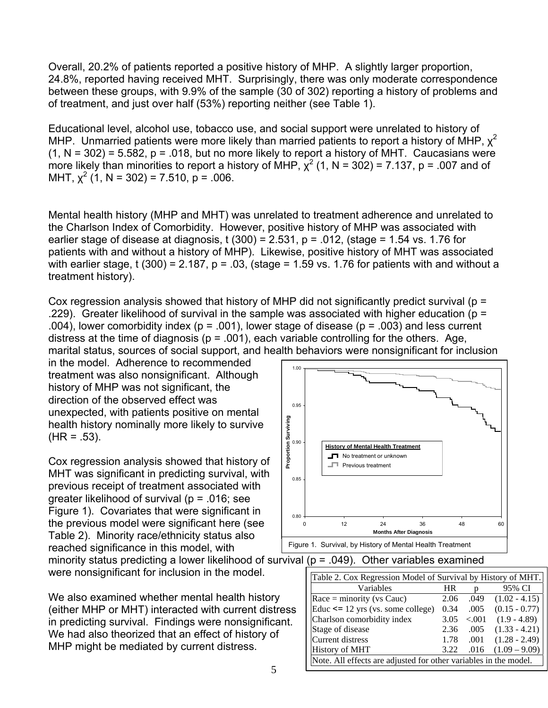Overall, 20.2% of patients reported a positive history of MHP. A slightly larger proportion, 24.8%, reported having received MHT. Surprisingly, there was only moderate correspondence between these groups, with 9.9% of the sample (30 of 302) reporting a history of problems and of treatment, and just over half (53%) reporting neither (see Table 1).

Educational level, alcohol use, tobacco use, and social support were unrelated to history of MHP. Unmarried patients were more likely than married patients to report a history of MHP,  $\chi^2$  $(1, N = 302) = 5.582$ ,  $p = .018$ , but no more likely to report a history of MHT. Caucasians were more likely than minorities to report a history of MHP,  $\chi^2$  (1, N = 302) = 7.137, p = .007 and of MHT,  $\chi^2$  (1, N = 302) = 7.510, p = .006.

Mental health history (MHP and MHT) was unrelated to treatment adherence and unrelated to the Charlson Index of Comorbidity. However, positive history of MHP was associated with earlier stage of disease at diagnosis,  $t(300) = 2.531$ ,  $p = .012$ , (stage = 1.54 vs. 1.76 for patients with and without a history of MHP). Likewise, positive history of MHT was associated with earlier stage, t (300) = 2.187,  $p = 0.03$ , (stage = 1.59 vs. 1.76 for patients with and without a treatment history).

Cox regression analysis showed that history of MHP did not significantly predict survival (p = .229). Greater likelihood of survival in the sample was associated with higher education ( $p =$ .004), lower comorbidity index ( $p = .001$ ), lower stage of disease ( $p = .003$ ) and less current distress at the time of diagnosis ( $p = .001$ ), each variable controlling for the others. Age, marital status, sources of social support, and health behaviors were nonsignificant for inclusion

in the model. Adherence to recommended treatment was also nonsignificant. Although history of MHP was not significant, the direction of the observed effect was unexpected, with patients positive on mental health history nominally more likely to survive  $(HR = .53)$ .

Cox regression analysis showed that history of MHT was significant in predicting survival, with previous receipt of treatment associated with greater likelihood of survival (p = .016; see Figure 1). Covariates that were significant in the previous model were significant here (see Table 2). Minority race/ethnicity status also reached significance in this model, with minority status predicting a lower likelihood of survival ( $p = .049$ ). Other variables examined

were nonsignificant for inclusion in the model.

We also examined whether mental health history (either MHP or MHT) interacted with current distress in predicting survival. Findings were nonsignificant. We had also theorized that an effect of history of MHP might be mediated by current distress.



| Table 2. Cox Regression Model of Survival by History of MHT.     |           |         |                 |  |  |
|------------------------------------------------------------------|-----------|---------|-----------------|--|--|
| Variables                                                        | <b>HR</b> |         | 95% CI          |  |  |
| $Race = minority (vs Cauc)$                                      | 2.06      | .049    | $(1.02 - 4.15)$ |  |  |
| Educ $\leq$ 12 yrs (vs. some college)                            | 0.34      | .005    | $(0.15 - 0.77)$ |  |  |
| Charlson comorbidity index                                       | 3.05      | < 0.001 | $(1.9 - 4.89)$  |  |  |
| Stage of disease                                                 | 2.36      | .005    | $(1.33 - 4.21)$ |  |  |
| Current distress                                                 | 1.78      | .001    | $(1.28 - 2.49)$ |  |  |
| <b>History of MHT</b>                                            | 3.22      | .016    | $(1.09 - 9.09)$ |  |  |
| Note. All effects are adjusted for other variables in the model. |           |         |                 |  |  |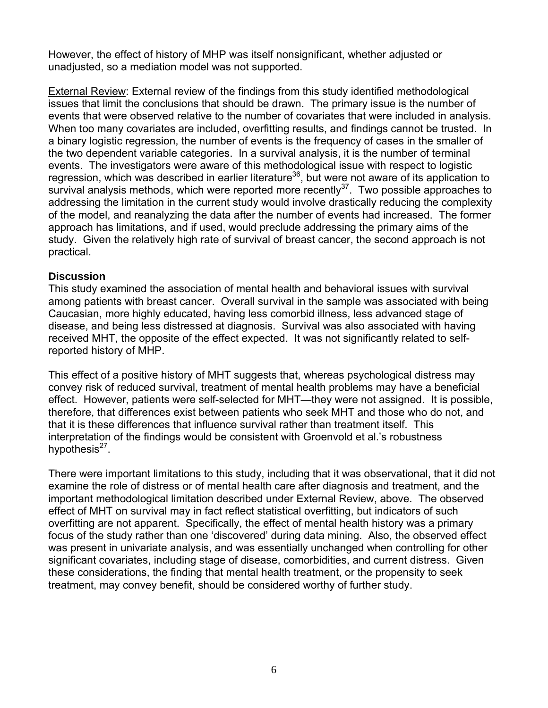However, the effect of history of MHP was itself nonsignificant, whether adjusted or unadjusted, so a mediation model was not supported.

External Review: External review of the findings from this study identified methodological issues that limit the conclusions that should be drawn. The primary issue is the number of events that were observed relative to the number of covariates that were included in analysis. When too many covariates are included, overfitting results, and findings cannot be trusted. In a binary logistic regression, the number of events is the frequency of cases in the smaller of the two dependent variable categories. In a survival analysis, it is the number of terminal events. The investigators were aware of this methodological issue with respect to logistic regression, which was described in earlier literature<sup>36</sup>, but were not aware of its application to survival analysis methods, which were reported more recently<sup>37</sup>. Two possible approaches to addressing the limitation in the current study would involve drastically reducing the complexity of the model, and reanalyzing the data after the number of events had increased. The former approach has limitations, and if used, would preclude addressing the primary aims of the study. Given the relatively high rate of survival of breast cancer, the second approach is not practical.

# **Discussion**

This study examined the association of mental health and behavioral issues with survival among patients with breast cancer. Overall survival in the sample was associated with being Caucasian, more highly educated, having less comorbid illness, less advanced stage of disease, and being less distressed at diagnosis. Survival was also associated with having received MHT, the opposite of the effect expected. It was not significantly related to selfreported history of MHP.

This effect of a positive history of MHT suggests that, whereas psychological distress may convey risk of reduced survival, treatment of mental health problems may have a beneficial effect. However, patients were self-selected for MHT—they were not assigned. It is possible, therefore, that differences exist between patients who seek MHT and those who do not, and that it is these differences that influence survival rather than treatment itself. This interpretation of the findings would be consistent with Groenvold et al.'s robustness hypothesis $^{27}$ .

There were important limitations to this study, including that it was observational, that it did not examine the role of distress or of mental health care after diagnosis and treatment, and the important methodological limitation described under External Review, above. The observed effect of MHT on survival may in fact reflect statistical overfitting, but indicators of such overfitting are not apparent. Specifically, the effect of mental health history was a primary focus of the study rather than one 'discovered' during data mining. Also, the observed effect was present in univariate analysis, and was essentially unchanged when controlling for other significant covariates, including stage of disease, comorbidities, and current distress. Given these considerations, the finding that mental health treatment, or the propensity to seek treatment, may convey benefit, should be considered worthy of further study.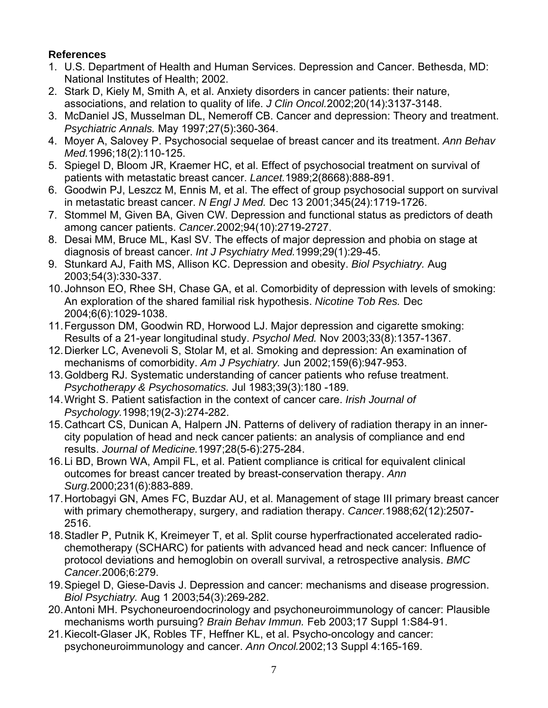# **References**

- 1. U.S. Department of Health and Human Services. Depression and Cancer. Bethesda, MD: National Institutes of Health; 2002.
- 2. Stark D, Kiely M, Smith A, et al. Anxiety disorders in cancer patients: their nature, associations, and relation to quality of life. *J Clin Oncol.*2002;20(14):3137-3148.
- 3. McDaniel JS, Musselman DL, Nemeroff CB. Cancer and depression: Theory and treatment. *Psychiatric Annals.* May 1997;27(5):360-364.
- 4. Moyer A, Salovey P. Psychosocial sequelae of breast cancer and its treatment. *Ann Behav Med.*1996;18(2):110-125.
- 5. Spiegel D, Bloom JR, Kraemer HC, et al. Effect of psychosocial treatment on survival of patients with metastatic breast cancer. *Lancet.*1989;2(8668):888-891.
- 6. Goodwin PJ, Leszcz M, Ennis M, et al. The effect of group psychosocial support on survival in metastatic breast cancer. *N Engl J Med.* Dec 13 2001;345(24):1719-1726.
- 7. Stommel M, Given BA, Given CW. Depression and functional status as predictors of death among cancer patients. *Cancer.*2002;94(10):2719-2727.
- 8. Desai MM, Bruce ML, Kasl SV. The effects of major depression and phobia on stage at diagnosis of breast cancer. *Int J Psychiatry Med.*1999;29(1):29-45.
- 9. Stunkard AJ, Faith MS, Allison KC. Depression and obesity. *Biol Psychiatry.* Aug 2003;54(3):330-337.
- 10. Johnson EO, Rhee SH, Chase GA, et al. Comorbidity of depression with levels of smoking: An exploration of the shared familial risk hypothesis. *Nicotine Tob Res.* Dec 2004;6(6):1029-1038.
- 11. Fergusson DM, Goodwin RD, Horwood LJ. Major depression and cigarette smoking: Results of a 21-year longitudinal study. *Psychol Med.* Nov 2003;33(8):1357-1367.
- 12. Dierker LC, Avenevoli S, Stolar M, et al. Smoking and depression: An examination of mechanisms of comorbidity. *Am J Psychiatry.* Jun 2002;159(6):947-953.
- 13. Goldberg RJ. Systematic understanding of cancer patients who refuse treatment. *Psychotherapy & Psychosomatics.* Jul 1983;39(3):180 -189.
- 14. Wright S. Patient satisfaction in the context of cancer care. *Irish Journal of Psychology.*1998;19(2-3):274-282.
- 15. Cathcart CS, Dunican A, Halpern JN. Patterns of delivery of radiation therapy in an innercity population of head and neck cancer patients: an analysis of compliance and end results. *Journal of Medicine.*1997;28(5-6):275-284.
- 16. Li BD, Brown WA, Ampil FL, et al. Patient compliance is critical for equivalent clinical outcomes for breast cancer treated by breast-conservation therapy. *Ann Surg.*2000;231(6):883-889.
- 17. Hortobagyi GN, Ames FC, Buzdar AU, et al. Management of stage III primary breast cancer with primary chemotherapy, surgery, and radiation therapy. *Cancer.*1988;62(12):2507- 2516.
- 18. Stadler P, Putnik K, Kreimeyer T, et al. Split course hyperfractionated accelerated radiochemotherapy (SCHARC) for patients with advanced head and neck cancer: Influence of protocol deviations and hemoglobin on overall survival, a retrospective analysis. *BMC Cancer.*2006;6:279.
- 19. Spiegel D, Giese-Davis J. Depression and cancer: mechanisms and disease progression. *Biol Psychiatry.* Aug 1 2003;54(3):269-282.
- 20. Antoni MH. Psychoneuroendocrinology and psychoneuroimmunology of cancer: Plausible mechanisms worth pursuing? *Brain Behav Immun.* Feb 2003;17 Suppl 1:S84-91.
- 21. Kiecolt-Glaser JK, Robles TF, Heffner KL, et al. Psycho-oncology and cancer: psychoneuroimmunology and cancer. *Ann Oncol.*2002;13 Suppl 4:165-169.